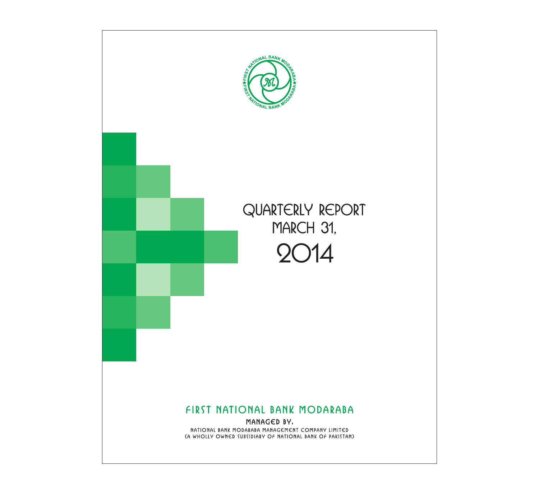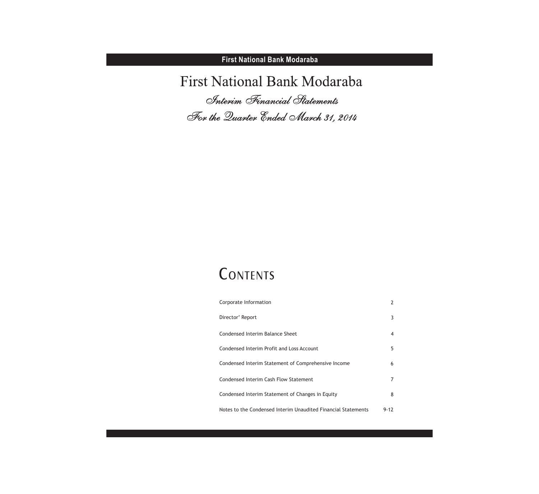First National Bank Modaraba

*Interim Financial Statements For the Quarter Ended March 31, 2014*

# CONTENTS

| Corporate Information                                         |          |
|---------------------------------------------------------------|----------|
| Director' Report                                              | 3        |
| Condensed Interim Balance Sheet                               | 4        |
| Condensed Interim Profit and Loss Account                     | 5        |
| Condensed Interim Statement of Comprehensive Income           | 6        |
| Condensed Interim Cash Flow Statement                         | 7        |
| Condensed Interim Statement of Changes in Equity              | 8        |
| Notes to the Condensed Interim Unaudited Financial Statements | $9 - 17$ |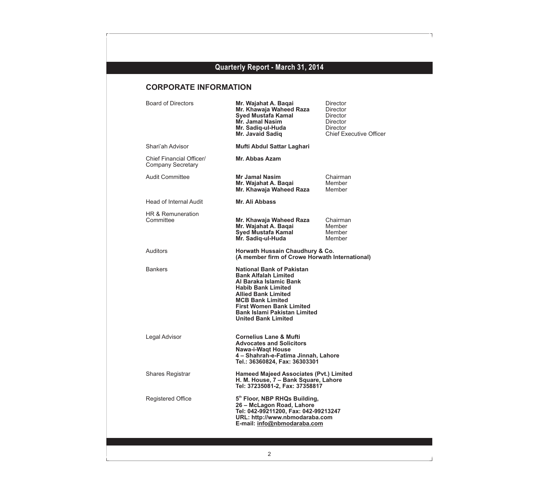# **CORPORATE INFORMATION**

 $\Gamma$ 

 $\mathbf{r}$ 

| <b>Board of Directors</b>                            | Mr. Wajahat A. Baqai<br>Mr. Khawaja Waheed Raza<br><b>Syed Mustafa Kamal</b><br><b>Mr. Jamal Nasim</b><br>Mr. Sadiq-ul-Huda<br>Mr. Javaid Sadiq                                                                                                                           | Director<br>Director<br>Director<br>Director<br>Director<br><b>Chief Executive Officer</b> |
|------------------------------------------------------|---------------------------------------------------------------------------------------------------------------------------------------------------------------------------------------------------------------------------------------------------------------------------|--------------------------------------------------------------------------------------------|
| Shari'ah Advisor                                     | Mufti Abdul Sattar Laghari                                                                                                                                                                                                                                                |                                                                                            |
| Chief Financial Officer/<br><b>Company Secretary</b> | Mr. Abbas Azam                                                                                                                                                                                                                                                            |                                                                                            |
| <b>Audit Committee</b>                               | Mr Jamal Nasim<br>Mr. Wajahat A. Bagai<br>Mr. Khawaja Waheed Raza                                                                                                                                                                                                         | Chairman<br>Member<br>Member                                                               |
| Head of Internal Audit                               | Mr. Ali Abbass                                                                                                                                                                                                                                                            |                                                                                            |
| HR & Remuneration<br>Committee                       | Mr. Khawaja Waheed Raza<br>Mr. Wajahat A. Baqai<br><b>Syed Mustafa Kamal</b><br>Mr. Sadiq-ul-Huda                                                                                                                                                                         | Chairman<br>Member<br>Member<br>Member                                                     |
| Auditors                                             | Horwath Hussain Chaudhury & Co.<br>(A member firm of Crowe Horwath International)                                                                                                                                                                                         |                                                                                            |
| <b>Bankers</b>                                       | National Bank of Pakistan<br><b>Bank Alfalah Limited</b><br>Al Baraka Islamic Bank<br><b>Habib Bank Limited</b><br><b>Allied Bank Limited</b><br><b>MCB Bank Limited</b><br>First Women Bank Limited<br><b>Bank Islami Pakistan Limited</b><br><b>United Bank Limited</b> |                                                                                            |
| Legal Advisor                                        | <b>Cornelius Lane &amp; Mufti</b><br><b>Advocates and Solicitors</b><br><b>Nawa-i-Waqt House</b><br>4 - Shahrah-e-Fatima Jinnah, Lahore<br>Tel.: 36360824, Fax: 36303301                                                                                                  |                                                                                            |
| <b>Shares Registrar</b>                              | <b>Hameed Majeed Associates (Pvt.) Limited</b><br>H. M. House, 7 - Bank Square, Lahore<br>Tel: 37235081-2, Fax: 37358817                                                                                                                                                  |                                                                                            |
| <b>Registered Office</b>                             | 5th Floor, NBP RHQs Building,<br>26 - McLagon Road, Lahore<br>Tel: 042-99211200, Fax: 042-99213247<br>URL: http://www.nbmodaraba.com<br>E-mail: info@nbmodaraba.com                                                                                                       |                                                                                            |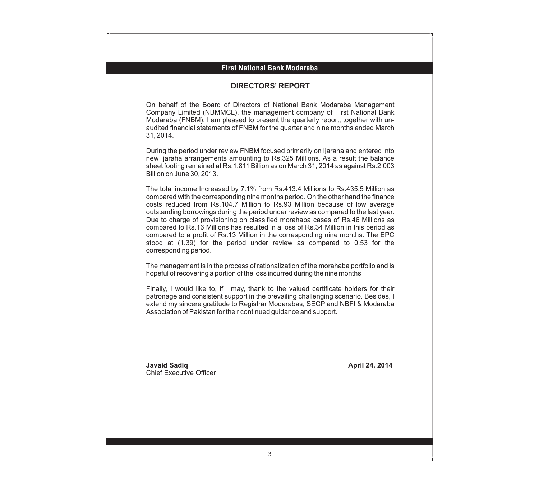### **DIRECTORS' REPORT**

On behalf of the Board of Directors of National Bank Modaraba Management Company Limited (NBMMCL), the management company of First National Bank Modaraba (FNBM), I am pleased to present the quarterly report, together with unaudited financial statements of FNBM for the quarter and nine months ended March 31, 2014.

During the period under review FNBM focused primarily on Ijaraha and entered into new Ijaraha arrangements amounting to Rs.325 Millions. As a result the balance sheet footing remained at Rs.1.811 Billion as on March 31, 2014 as against Rs.2.003 Billion on June 30, 2013.

The total income Increased by 7.1% from Rs.413.4 Millions to Rs.435.5 Million as compared with the corresponding nine months period. On the other hand the finance costs reduced from Rs.104.7 Million to Rs.93 Million because of low average outstanding borrowings during the period under review as compared to the last year. Due to charge of provisioning on classified morahaba cases of Rs.46 Millions as compared to Rs.16 Millions has resulted in a loss of Rs.34 Million in this period as compared to a profit of Rs.13 Million in the corresponding nine months. The EPC stood at (1.39) for the period under review as compared to 0.53 for the corresponding period.

The management is in the process of rationalization of the morahaba portfolio and is hopeful of recovering a portion of the loss incurred during the nine months

Finally, I would like to, if I may, thank to the valued certificate holders for their patronage and consistent support in the prevailing challenging scenario. Besides, I extend my sincere gratitude to Registrar Modarabas, SECP and NBFI & Modaraba Association of Pakistan for their continued guidance and support.

**Javaid Sadiq April 24, 2014** Chief Executive Officer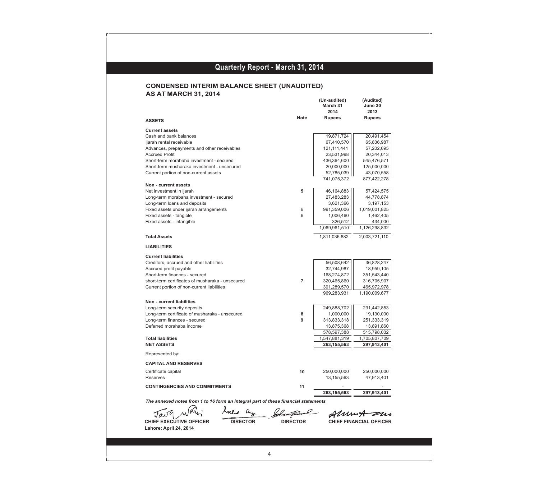### **CONDENSED INTERIM BALANCE SHEET (UNAUDITED) AS AT MARCH 31, 2014**

 $\Gamma$ 

|                                                  |                | (Un-audited)<br>March 31<br>2014 | (Audited)<br>June 30<br>2013 |
|--------------------------------------------------|----------------|----------------------------------|------------------------------|
| <b>ASSETS</b>                                    | <b>Note</b>    | <b>Rupees</b>                    | <b>Rupees</b>                |
| <b>Current assets</b>                            |                |                                  |                              |
| Cash and bank balances                           |                | 19,871,724                       | 20,491,454                   |
| ljarah rental receivable                         |                | 67,410,570                       | 65,836,987                   |
| Advances, prepayments and other receivables      |                | 121, 111, 441                    | 57,202,695                   |
| <b>Accrued Profit</b>                            |                | 23,531,998                       | 20,344,013                   |
| Short-term morabaha investment - secured         |                | 436,364,600                      | 545,476,571                  |
| Short-term musharaka investment - unsecured      |                | 20,000,000                       | 125,000,000                  |
| Current portion of non-current assets            |                | 52,785,039                       | 43,070,558                   |
|                                                  |                | 741,075,372                      | 877,422,278                  |
| Non - current assets<br>Net investment in ijarah | 5              | 46,164,883                       | 57,424,575                   |
| Long-term morabaha investment - secured          |                | 27,483,283                       | 44,778,874                   |
| Long-term loans and deposits                     |                | 3,621,366                        | 3,197,153                    |
| Fixed assets under ijarah arrangements           | 6              | 991,359,006                      | 1,019,001,825                |
| Fixed assets - tangible                          | 6              | 1,006,460                        | 1,462,405                    |
| Fixed assets - intangible                        |                | 326,512                          | 434,000                      |
|                                                  |                | 1,069,961,510                    | 1,126,298,832                |
| <b>Total Assets</b>                              |                | 1,811,036,882                    | 2,003,721,110                |
| <b>LIABILITIES</b>                               |                |                                  |                              |
|                                                  |                |                                  |                              |
| <b>Current liabilities</b>                       |                |                                  |                              |
| Creditors, accrued and other liabilities         |                | 56,508,642                       | 36,828,247                   |
| Accrued profit payable                           |                | 32,744,987                       | 18,959,105                   |
| Short-term finances - secured                    |                | 168,274,872                      | 351,543,440                  |
| short-term certificates of musharaka - unsecured | $\overline{7}$ | 320,465,860                      | 316,705,907                  |
| Current portion of non-current liabilities       |                | 391,289,570                      | 465,972,978                  |
|                                                  |                | 969,283,931                      | 1,190,009,677                |
| <b>Non - current liabilities</b>                 |                |                                  |                              |
| Long-term security deposits                      |                | 249,888,702                      | 231,442,853                  |
| Long-term certificate of musharaka - unsecured   | 8              | 1,000,000                        | 19,130,000                   |
| Long-term finances - secured                     | 9              | 313,833,318                      | 251,333,319                  |
| Deferred morahaba income                         |                | 13,875,368                       | 13,891,860                   |
|                                                  |                | 578,597,388                      | 515,798,032                  |
| <b>Total liabilities</b>                         |                | 1,547,881,319                    | 1,705,807,709                |
| <b>NET ASSETS</b>                                |                | 263,155,563                      | 297,913,401                  |
| Represented by:                                  |                |                                  |                              |
| <b>CAPITAL AND RESERVES</b>                      |                |                                  |                              |
| Certificate capital                              | 10             | 250,000,000                      | 250,000,000                  |
| <b>Reserves</b>                                  |                | 13,155,563                       | 47,913,401                   |
| <b>CONTINGENCIES AND COMMITMENTS</b>             | 11             |                                  |                              |
|                                                  |                | 263, 155, 563                    | 297,913,401                  |

*The annexed notes from 1 to 16 form an integral part of these financial statements*<br> *The Angle Reggerer System frame* lake Reze

Tav U.

Semparal

**Lahore: April 24, 2014**

Almut zur **CHIEF EXECUTIVE OFFICER DIRECTOR DIRECTOR CHIEF FINANCIAL OFFICER**

ī

j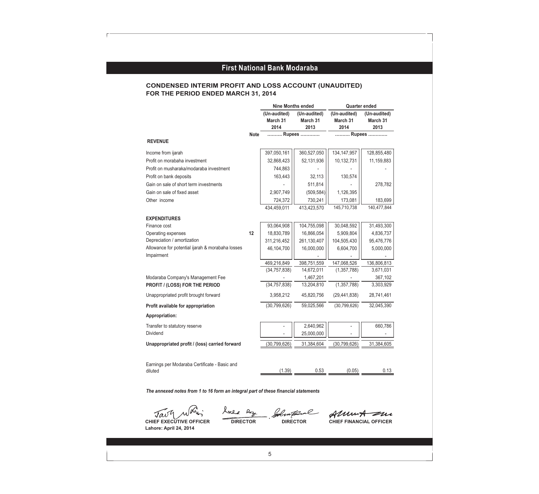### **FOR THE PERIOD ENDED MARCH 31, 2014 CONDENSED INTERIM PROFIT AND LOSS ACCOUNT (UNAUDITED)**

|                                                  |             |                | <b>Nine Months ended</b> |                | <b>Quarter ended</b> |
|--------------------------------------------------|-------------|----------------|--------------------------|----------------|----------------------|
|                                                  |             | (Un-audited)   | (Un-audited)             | (Un-audited)   | (Un-audited)         |
|                                                  |             | March 31       | March 31                 | March 31       | March 31             |
|                                                  |             | 2014           | 2013                     | 2014           | 2013                 |
|                                                  | <b>Note</b> |                | Rupees                   |                | Rupees               |
| <b>REVENUE</b>                                   |             |                |                          |                |                      |
| Income from ijarah                               |             | 397,050,161    | 360,527,050              | 134, 147, 957  | 128,855,480          |
| Profit on morabaha investment                    |             | 32,868,423     | 52,131,936               | 10,132,731     | 11,159,883           |
| Profit on musharaka/modaraba investment          |             | 744,863        |                          |                |                      |
| Profit on bank deposits                          |             | 163,443        | 32,113                   | 130,574        |                      |
| Gain on sale of short term investments           |             |                | 511,814                  |                | 278,782              |
| Gain on sale of fixed asset                      |             | 2,907,749      | (509, 584)               | 1,126,395      |                      |
| Other income                                     |             | 724,372        | 730,241                  | 173,081        | 183,699              |
|                                                  |             | 434,459,011    | 413,423,570              | 145,710,738    | 140,477,844          |
| <b>EXPENDITURES</b>                              |             |                |                          |                |                      |
| Finance cost                                     |             | 93,064,908     | 104,755,098              | 30,048,592     | 31,493,300           |
| Operating expenses                               | 12          | 18,830,789     | 16,866,054               | 5,909,804      | 4,836,737            |
| Depreciation / amortization                      |             | 311,216,452    | 261,130,407              | 104,505,430    | 95,476,776           |
| Allowance for potential ijarah & morabaha losses |             | 46,104,700     | 16,000,000               | 6,604,700      | 5,000,000            |
| Impairment                                       |             |                |                          |                |                      |
|                                                  |             | 469,216,849    | 398,751,559              | 147,068,526    | 136,806,813          |
|                                                  |             | (34, 757, 838) | 14,672,011               | (1, 357, 788)  | 3,671,031            |
| Modaraba Company's Management Fee                |             |                | 1,467,201                |                | 367,102              |
| PROFIT / (LOSS) FOR THE PERIOD                   |             | (34, 757, 838) | 13,204,810               | (1, 357, 788)  | 3,303,929            |
| Unappropriated profit brought forward            |             | 3,958,212      | 45,820,756               | (29, 441, 838) | 28,741,461           |
| Profit available for appropriation               |             | (30, 799, 626) | 59,025,566               | (30, 799, 626) | 32,045,390           |
| Appropriation:                                   |             |                |                          |                |                      |
| Transfer to statutory reserve                    |             |                | 2,640,962                |                | 660,786              |
| Dividend                                         |             |                | 25,000,000               |                |                      |
| Unappropriated profit / (loss) carried forward   |             | (30, 799, 626) | 31,384,604               | (30, 799, 626) | 31,384,605           |
| Earnings per Modaraba Certificate - Basic and    |             |                |                          |                |                      |
| diluted                                          |             | (1.39)         | 0.53                     | (0.05)         | 0.13                 |

*The annexed notes from 1 to 16 form an integral part of these financial statements*

Tav

 $R_{z}$ Azhe l in tain Ì, **CHIEF EXECUTIVE OFFICER DIRECTOR DIRECTOR CHIEF FINANCIAL OFFICER**

AlumA zur

**Lahore: April 24, 2014**

 $\overline{\phantom{a}}$ 

Ī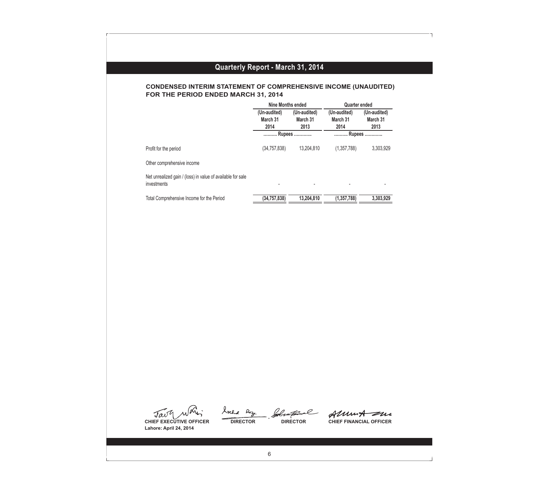### **CONDENSED INTERIM STATEMENT OF COMPREHENSIVE INCOME (UNAUDITED) FOR THE PERIOD ENDED MARCH 31, 2014**

|                                                                            | Nine Months ended                |                                  | <b>Quarter ended</b>             |                                  |
|----------------------------------------------------------------------------|----------------------------------|----------------------------------|----------------------------------|----------------------------------|
|                                                                            | (Un-audited)<br>March 31<br>2014 | (Un-audited)<br>March 31<br>2013 | (Un-audited)<br>March 31<br>2014 | (Un-audited)<br>March 31<br>2013 |
|                                                                            |                                  | Rupees<br>Rupees                 |                                  |                                  |
| Profit for the period                                                      | (34, 757, 838)                   | 13,204,810                       | (1,357,788)                      | 3,303,929                        |
| Other comprehensive income                                                 |                                  |                                  |                                  |                                  |
| Net unrealized gain / (loss) in value of available for sale<br>investments |                                  |                                  |                                  |                                  |
| Total Comprehensive Income for the Period                                  | (34, 757, 838)                   | 13,204,810                       | (1, 357, 788)                    | 3,303,929                        |

 $\Gamma$ 

**Lahore: April 24, 2014**

Sthe Roze al **CHIEF EXECUTIVE OFFICER** *ALWAYA* **DIRECTOR DIRECTOR CHIEF FINANCIAL OFFICER** Den tain j

AlumA zur

 $6\overline{6}$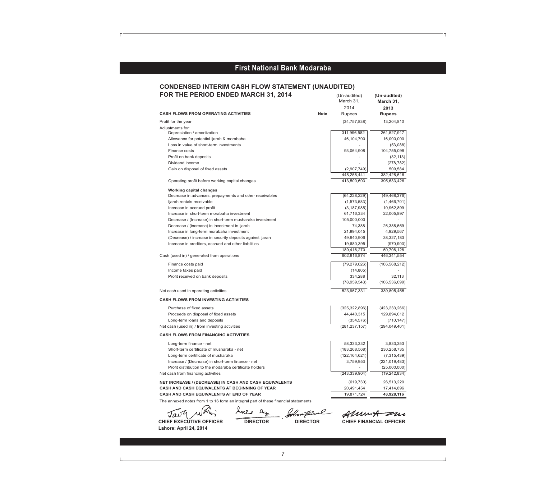#### **CONDENSED INTERIM CASH FLOW STATEMENT (UNAUDITED) FOR THE PERIOD ENDED MARCH 31, 2014** (Un-audited) **(Un-audited)**

|                                                                                    |             | March 31,            | March 31,                      |
|------------------------------------------------------------------------------------|-------------|----------------------|--------------------------------|
|                                                                                    |             | 2014                 | 2013                           |
| <b>CASH FLOWS FROM OPERATING ACTIVITIES</b>                                        | <b>Note</b> | <b>Rupees</b>        | <b>Rupees</b>                  |
| Profit for the year                                                                |             | (34, 757, 838)       | 13,204,810                     |
| Adjustments for:                                                                   |             |                      |                                |
| Depreciation / amortization                                                        |             | 311,996,582          | 261,527,917                    |
| Allowance for potential ijarah & morabaha                                          |             | 46,104,700           | 16,000,000                     |
| Loss in value of short-term investments                                            |             |                      | (53,088)                       |
| Finance costs                                                                      |             | 93,064,908           | 104,755,098                    |
| Profit on bank deposits                                                            |             |                      | (32, 113)                      |
| Dividend income                                                                    |             |                      | (278, 782)                     |
| Gain on disposal of fixed assets                                                   |             | (2,907,749)          | 509,584                        |
|                                                                                    |             | 448,258,441          | 382,428,616                    |
| Operating profit before working capital changes                                    |             | 413,500,603          | 395,633,426                    |
| <b>Working capital changes</b>                                                     |             |                      |                                |
| Decrease in advances, prepayments and other receivables                            |             | (64, 228, 229)       | (49, 468, 376)                 |
| ljarah rentals receivable                                                          |             | (1, 573, 583)        | (1,466,701)                    |
| Increase in accrued profit                                                         |             | (3, 187, 985)        | 10,962,899                     |
| Increase in short-term morabaha investment                                         |             | 61,716,334           | 22,005,897                     |
| Decrease / (Increase) in short-term musharaka investment                           |             | 105,000,000          |                                |
| Decrease / (increase) in investment in ijarah                                      |             | 74,388               | 26,388,559                     |
| Increase in long-term morabaha investment                                          |             | 21,994,045           | 4,929,567                      |
| (Decrease) / increase in security deposits against ijarah                          |             | 49,940,906           | 38,327,183                     |
| Increase in creditors, accrued and other liabilities                               |             | 19,680,395           | (970, 900)                     |
|                                                                                    |             | 189,416,270          | 50,708,128                     |
| Cash (used in) / generated from operations                                         |             | 602,916,874          | 446,341,554                    |
| Finance costs paid                                                                 |             | (79, 279, 026)       | (106, 568, 212)                |
| Income taxes paid                                                                  |             | (14, 805)            |                                |
| Profit received on bank deposits                                                   |             | 334,288              | 32,113                         |
|                                                                                    |             | (78, 959, 543)       | (106, 536, 099)                |
| Net cash used in operating activities                                              |             | 523,957,331          | 339,805,455                    |
| <b>CASH FLOWS FROM INVESTING ACTIVITIES</b>                                        |             |                      |                                |
| Purchase of fixed assets                                                           |             | (325, 322, 896)      | (423, 233, 266)                |
| Proceeds on disposal of fixed assets                                               |             | 44,440,315           | 129,894,012                    |
| Long-term loans and deposits                                                       |             | (354, 576)           | (710, 147)                     |
| Net cash (used in) / from investing activities                                     |             | (281, 237, 157)      | (294.049.401)                  |
| <b>CASH FLOWS FROM FINANCING ACTIVITIES</b>                                        |             |                      |                                |
| Long-term finance - net                                                            |             | 58,333,332           | 3,833,353                      |
| Short-term certificate of musharaka - net                                          |             | (183, 268, 568)      | 230,258,735                    |
| Long-term certificate of musharaka                                                 |             | (122, 164, 621)      | (7, 315, 439)                  |
| Increase / (Decrease) in short-term finance - net                                  |             | 3,759,953            | (221, 019, 483)                |
| Profit distribution to the modaraba certificate holders                            |             |                      | (25,000,000)                   |
| Net cash from financing activities                                                 |             | (243, 339, 904)      | (19, 242, 834)                 |
|                                                                                    |             |                      |                                |
| NET INCREASE / (DECREASE) IN CASH AND CASH EQUIVALENTS                             |             | (619, 730)           | 26,513,220                     |
| CASH AND CASH EQUIVALENTS AT BEGINNING OF YEAR                                     |             | 20,491,454           | 17,414,896                     |
| CASH AND CASH EQUIVALENTS AT END OF YEAR                                           |             | 19.871.724           | 43,928,116                     |
| The annexed notes from 1 to 16 form an integral part of these financial statements |             |                      |                                |
| lxhe                                                                               |             | Solinfanal Almut zur |                                |
| <b>EXECUTIVE OFFICER</b><br><b>DIRECTOR</b><br><b>DIRECTOR</b><br><b>CHIEF</b>     |             |                      | <b>CHIEF FINANCIAL OFFICER</b> |

**Lahore: April 24, 2014**

7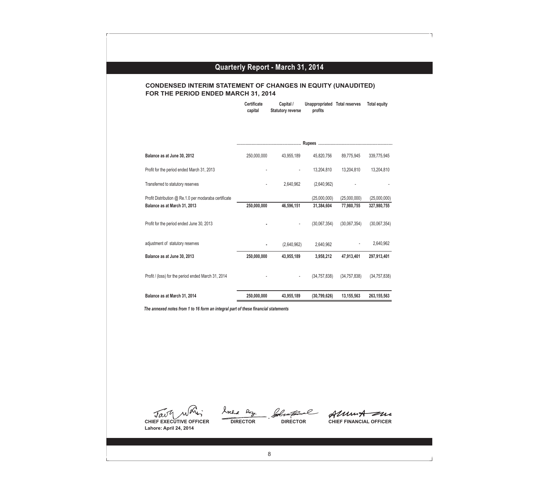### **CONDENSED INTERIM STATEMENT OF CHANGES IN EQUITY (UNAUDITED) FOR THE PERIOD ENDED MARCH 31, 2014**

**Certificate capital Capital / Statutory reverse Unappropriated Total reserves Total equity profits**

| 250,000,000 | 43,955,189  | 45,820,756     | 89,775,945     | 339,775,945    |
|-------------|-------------|----------------|----------------|----------------|
|             |             | 13,204,810     | 13,204,810     | 13,204,810     |
|             | 2,640,962   | (2,640,962)    |                |                |
|             |             | (25,000,000)   | (25,000,000)   | (25,000,000)   |
| 250,000,000 | 46,596,151  | 31,384,604     | 77,980,755     | 327,980,755    |
| ٠           |             | (30,067,354)   | (30,067,354)   | (30,067,354)   |
|             | (2,640,962) | 2,640,962      |                | 2,640,962      |
| 250,000,000 | 43,955,189  | 3,958,212      | 47,913,401     | 297,913,401    |
|             |             | (34, 757, 838) | (34, 757, 838) | (34, 757, 838) |
| 250,000,000 | 43,955,189  | (30, 799, 626) | 13,155,563     | 263, 155, 563  |
|             |             |                |                |                |

*The annexed notes from 1 to 16 form an integral part of these financial statements*

Tavy

 $\Gamma$ 

**CHIEF EXECUTIVE OFFICER DIRECTOR DIRECTOR CHIEF FINANCIAL OFFICER Lahore: April 24, 2014**

lake Reze Santainal sh j

AlumA zur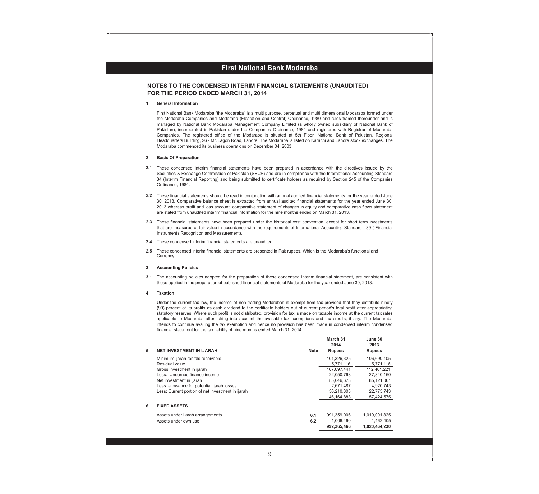### **First National Bank Modaraba First National Bank Modaraba**

### **NOTES TO THE CONDENSED INTERIM FINANCIAL STATEMENTS (UNAUDITED) FOR THE PERIOD ENDED MARCH 31, 2014**

**1 General Information**

First National Bank Modaraba "the Modaraba" is a multi purpose, perpetual and multi dimensional Modaraba formed under the Modaraba Companies and Modaraba (Floatation and Control) Ordinance, 1980 and rules framed thereunder and is managed by National Bank Modaraba Management Company Limited (a wholly owned subsidiary of National Bank of Pakistan), incorporated in Pakistan under the Companies Ordinance, 1984 and registered with Registrar of Modaraba Companies. The registered office of the Modaraba is situated at 5th Floor, National Bank of Pakistan, Regional Headquarters Building, 26 - Mc Lagon Road, Lahore. The Modaraba is listed on Karachi and Lahore stock exchanges. The Modaraba commenced its business operations on December 04, 2003.

#### **2 Basis Of Preparation**

- **2.1** These condensed interim financial statements have been prepared in accordance with the directives issued by the Securities & Exchange Commission of Pakistan (SECP) and are in compliance with the International Accounting Standard 34 (Interim Financial Reporting) and being submitted to certificate holders as required by Section 245 of the Companies Ordinance, 1984.
- **2.2** These financial statements should be read in conjunction with annual audited financial statements for the year ended June 30, 2013. Comparative balance sheet is extracted from annual audited financial statements for the year ended June 30, 2013 whereas profit and loss account, comparative statement of changes in equity and comparative cash flows statement are stated from unaudited interim financial information for the nine months ended on March 31, 2013.
- **2.3** These financial statements have been prepared under the historical cost convention, except for short term investments that are measured at fair value in accordance with the requirements of International Accounting Standard - 39 ( Financial Instruments Recognition and Measurement).
- **2.4** These condensed interim financial statements are unaudited.
- **2.5** These condensed interim financial statements are presented in Pak rupees, Which is the Modaraba's functional and **Currency**

#### **3 Accounting Policies**

**3.1** The accounting policies adopted for the preparation of these condensed interim financial statement, are consistent with those applied in the preparation of published financial statements of Modaraba for the year ended June 30, 2013.

#### **4 Taxation**

Under the current tax law, the income of non-trading Modarabas is exempt from tax provided that they distribute ninety (90) percent of its profits as cash dividend to the certificate holders out of current period's total profit after appropriating statutory reserves. Where such profit is not distributed, provision for tax is made on taxable income at the current tax rates applicable to Modaraba after taking into account the available tax exemptions and tax credits, if any. The Modaraba intends to continue availing the tax exemption and hence no provision has been made in condensed interim condensed financial statement for the tax liability of nine months ended March 31, 2014.

**March 31 June 30**

| 5 | <b>NET INVESTMENT IN IJARAH</b>                   | <b>Note</b> | 11101 UH J I<br>2014<br><b>Rupees</b> | vun <del>c</del> vv<br>2013<br><b>Rupees</b> |
|---|---------------------------------------------------|-------------|---------------------------------------|----------------------------------------------|
|   | Minimum ijarah rentals receivable                 |             | 101.326.325                           | 106.690.105                                  |
|   | Residual value                                    |             | 5.771.116                             | 5.771.116                                    |
|   | Gross investment in ijarah                        |             | 107.097.441                           | 112.461.221                                  |
|   | Less: Unearned finance income                     |             | 22,050,768                            | 27,340,160                                   |
|   | Net investment in ijarah                          |             | 85.046.673                            | 85,121,061                                   |
|   | Less: allowance for potential ijarah losses       |             | 2,671,487                             | 4,920,743                                    |
|   | Less: Current portion of net investment in ijarah |             | 36,210,303                            | 22,775,743                                   |
|   |                                                   |             | 46, 164, 883                          | 57,424,575                                   |
| 6 | <b>FIXED ASSETS</b>                               |             |                                       |                                              |
|   | Assets under ljarah arrangements                  | 6.1         | 991,359,006                           | 1,019,001,825                                |
|   | Assets under own use                              | 6.2         | 1.006.460                             | 1,462,405                                    |
|   |                                                   |             | 992.365.466                           | 1.020.464.230                                |
|   |                                                   |             |                                       |                                              |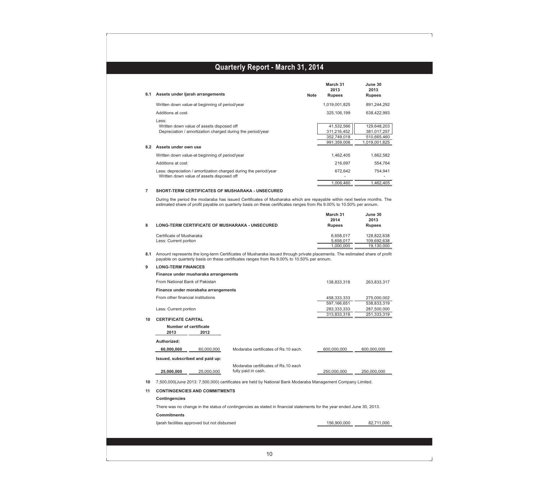| 6.1 | Assets under liarah arrangements                                                                                                         | <b>Note</b> | March 31<br>2013<br><b>Rupees</b>                       | June 30<br>2013<br><b>Rupees</b>                           |
|-----|------------------------------------------------------------------------------------------------------------------------------------------|-------------|---------------------------------------------------------|------------------------------------------------------------|
|     | Written down value-at beginning of period/year                                                                                           |             | 1,019,001,825                                           | 891,244,292                                                |
|     | Additions at cost                                                                                                                        |             | 325,106,199                                             | 638.422.993                                                |
| 6.2 | Less:<br>Written down value of assets disposed off<br>Depreciation / amortization charged during the period/year<br>Assets under own use |             | 41,532,566<br>311,216,452<br>352,749,018<br>991,359,006 | 129,648,203<br>381,017,257<br>510,665,460<br>1,019,001,825 |
|     | Written down value-at beginning of period/year                                                                                           |             | 1.462.405                                               | 1,662,582                                                  |
|     | Additions at cost                                                                                                                        |             | 216.697                                                 | 554.764                                                    |
|     | Less: depreciation / amortization charged during the period/year<br>Written down value of assets disposed off                            |             | 672.642                                                 | 754.941                                                    |
|     |                                                                                                                                          |             | 1,006,460                                               | 1,462,405                                                  |

#### **7 SHORT-TERM CERTIFICATES OF MUSHARAKA - UNSECURED**

During the period the modaraba has issued Certificates of Musharaka which are repayable within next twelve months. The estimated share of profit payable on quarterly basis on these certificates ranges from Rs 9.00% to 10.50% per annum.

| 8 | <b>LONG-TERM CERTIFICATE OF MUSHARAKA - UNSECURED</b> | March 31<br>2014<br><b>Rupees</b> | June 30<br>2013<br><b>Rupees</b> |
|---|-------------------------------------------------------|-----------------------------------|----------------------------------|
|   | Certificate of Musharaka                              | 6.658.017                         | 128.822.638                      |
|   | Less: Current portion                                 | 5,658,017                         | 109,692,638                      |
|   |                                                       | 1.000.000                         | 19.130.000                       |

**8.1** Amount represents the long-term Certificates of Musharaka issued through private placements. The estimated share of profit payable on quarterly basis on these certificates ranges from Rs 9.00% to 10.50% per annum.

| 9  | <b>LONG-TERM FINANCES</b>         |                                      |                                       |             |             |
|----|-----------------------------------|--------------------------------------|---------------------------------------|-------------|-------------|
|    |                                   | Finance under musharaka arrangements |                                       |             |             |
|    | From National Bank of Pakistan    |                                      |                                       | 138,833,318 | 263,833,317 |
|    |                                   | Finance under morabaha arrangements  |                                       |             |             |
|    | From other financial institutions |                                      |                                       | 458,333,333 | 275,000,002 |
|    |                                   |                                      |                                       | 597,166,651 | 538,833,319 |
|    | Less: Current portion             |                                      |                                       | 283,333,333 | 287,500,000 |
|    |                                   |                                      |                                       | 313,833,318 | 251,333,319 |
| 10 | <b>CERTIFICATE CAPITAL</b>        |                                      |                                       |             |             |
|    | Number of certificate             |                                      |                                       |             |             |
|    | 2013                              | 2012                                 |                                       |             |             |
|    | Authorized:                       |                                      |                                       |             |             |
|    | 60,000,000                        | 60,000,000                           | Modaraba certificates of Rs. 10 each. | 600.000.000 | 600,000,000 |
|    | Issued, subscribed and paid up:   |                                      |                                       |             |             |
|    |                                   |                                      | Modaraba certificates of Rs.10 each   |             |             |
|    | 25,000,000                        | 25.000.000                           | fully paid in cash.                   | 250.000.000 | 250.000.000 |

**10** 7,500,000(June 2013: 7,500,000) certificates are held by National Bank Modaraba Management Company Limited.

#### **11 CONTINGENCIES AND COMMITMENTS**

| <b>Contingencies</b> |
|----------------------|
|----------------------|

 $\Gamma$ 

There was no change in the status of contingencies as stated in financial statements for the year ended June 30, 2013.

#### **Commitments**

Ijarah facilities approved but not disbursed 156,900,000 156,900,000 82,711,000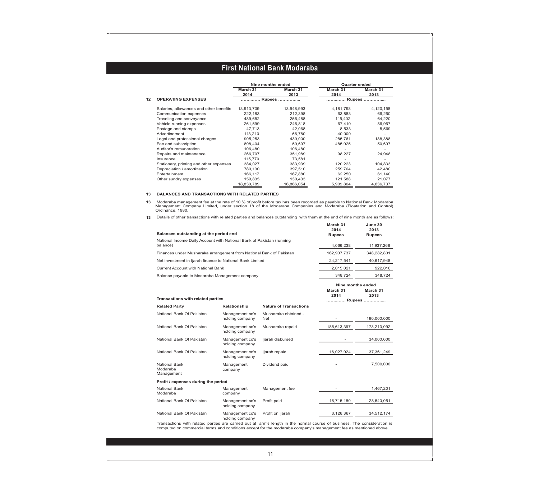٦

|    |                                         | Nine months ended |                  | <b>Quarter ended</b> |                  |
|----|-----------------------------------------|-------------------|------------------|----------------------|------------------|
|    |                                         | March 31<br>2014  | March 31<br>2013 | March 31<br>2014     | March 31<br>2013 |
| 12 | <b>OPERATING EXPENSES</b>               | Rupees            |                  | Rupees               |                  |
|    | Salaries, allowances and other benefits | 13,913,709        | 13,948,993       | 4,181,798            | 4,120,158        |
|    | Communication expenses                  | 222,183           | 212.398          | 63.883               | 66.260           |
|    | Traveling and conveyance                | 489,652           | 256,488          | 115,402              | 64,220           |
|    | Vehicle running expenses                | 261.599           | 246,818          | 67.410               | 86.967           |
|    | Postage and stamps                      | 47,713            | 42,068           | 8,533                | 5,569            |
|    | Advertisement                           | 113,210           | 66.780           | 40.000               |                  |
|    | Legal and professional charges          | 905,253           | 430,000          | 285,761              | 188,388          |
|    | Fee and subscription                    | 898,404           | 50,697           | 485,025              | 50,697           |
|    | Auditor's remuneration                  | 106,480           | 106,480          |                      |                  |
|    | Repairs and maintenance                 | 266.707           | 351,989          | 98,227               | 24,948           |
|    | Insurance                               | 115,770           | 73.581           |                      |                  |
|    | Stationery, printing and other expenses | 384,027           | 383,939          | 120,223              | 104,833          |
|    | Depreciation / amortization             | 780.130           | 397.510          | 259.704              | 42.480           |
|    | Entertainment                           | 166,117           | 167,880          | 62,250               | 61,140           |
|    | Other sundry expenses                   | 159,835           | 130,433          | 121,588              | 21,077           |
|    |                                         | 18.830.789        | 16.866.054       | 5.909.804            | 4,836,737        |

#### **13 BALANCES AND TRANSACTIONS WITH RELATED PARTIES**

13 Modaraba management fee at the rate of 10 % of profit before tax has been recorded as payable to National Bank Modaraba<br>Management Company Limited, under section 18 of the Modaraba Companies and Modaraba (Floatation and

**13** Details of other transactions with related parties and balances outstanding with them at the end of nine month are as follows:

|                                                                                   | March 31<br>2014  | June 30<br>2013  |
|-----------------------------------------------------------------------------------|-------------------|------------------|
| Balances outstanding at the period end                                            | <b>Rupees</b>     | <b>Rupees</b>    |
| National Income Daily Account with National Bank of Pakistan (running<br>balance) | 4,066,238         | 11.937.268       |
| Finances under Musharaka arrangement from National Bank of Pakistan               | 162.907.737       | 348.282.801      |
| Net investment in Ijarah finance to National Bank Limited                         | 24,217,541        | 40.617.948       |
| <b>Current Account with National Bank</b>                                         | 2,015,021         | 922,016          |
| Balance payable to Modaraba Management company                                    | 348.724           | 348.724          |
|                                                                                   | Nine months ended |                  |
|                                                                                   | March 31<br>2014  | March 31<br>2013 |
| Transactions with related narties                                                 | $\sim$ $\sim$     |                  |

| Transactions with related parties       | Rupees                             |                               |             |             |  |  |  |
|-----------------------------------------|------------------------------------|-------------------------------|-------------|-------------|--|--|--|
| <b>Related Party</b>                    | Relationship                       | <b>Nature of Transactions</b> |             |             |  |  |  |
| National Bank Of Pakistan               | Management co's<br>holding company | Musharaka obtained -<br>Net   |             | 190.000.000 |  |  |  |
| National Bank Of Pakistan               | Management co's<br>holding company | Musharaka repaid              | 185,613,397 | 173,213,092 |  |  |  |
| National Bank Of Pakistan               | Management co's<br>holding company | ljarah disbursed              |             | 34,000,000  |  |  |  |
| National Bank Of Pakistan               | Management co's<br>holding company | ljarah repaid                 | 16,027,924  | 37,361,249  |  |  |  |
| National Bank<br>Modaraba<br>Management | Management<br>company              | Dividend paid                 |             | 7,500,000   |  |  |  |
| Profit / expenses during the period     |                                    |                               |             |             |  |  |  |
| <b>National Bank</b><br>Modaraba        | Management<br>company              | Management fee                |             | 1,467,201   |  |  |  |
| National Bank Of Pakistan               | Management co's<br>holding company | Profit paid                   | 16,715,180  | 28,540,051  |  |  |  |
| National Bank Of Pakistan               | Management co's                    | Profit on ijarah              | 3,126,367   | 34,512,174  |  |  |  |

Transactions with related parties are carried out at arm's length in the normal course of business. The consideration is computed on commercial terms and conditions except for the modaraba company's management fee as mentioned above.

holding company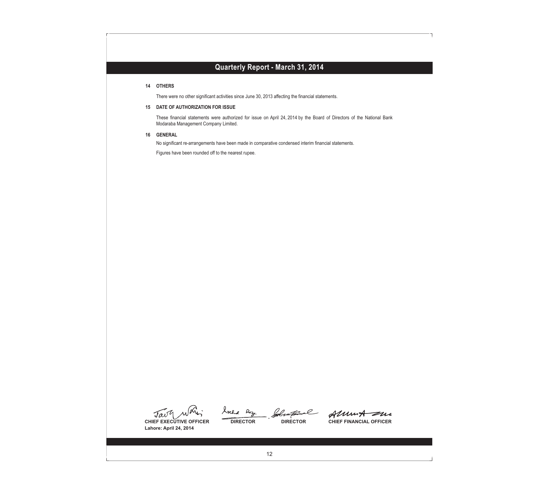#### **14 OTHERS**

 $\overline{r}$ 

There were no other significant activities since June 30, 2013 affecting the financial statements.

#### **15 DATE OF AUTHORIZATION FOR ISSUE**

These financial statements were authorized for issue on April 24, 2014 by the Board of Directors of the National Bank Modaraba Management Company Limited.

### **16 GENERAL**

No significant re-arrangements have been made in comparative condensed interim financial statements.

Figures have been rounded off to the nearest rupee.

Tavy

**CHIEF EXECUTIVE OFFICER DIRECTOR DIRECTOR CHIEF FINANCIAL OFFICER Lahore: April 24, 2014**

 $Re_{z}$ Simtamal rale j

AlumA zur

12